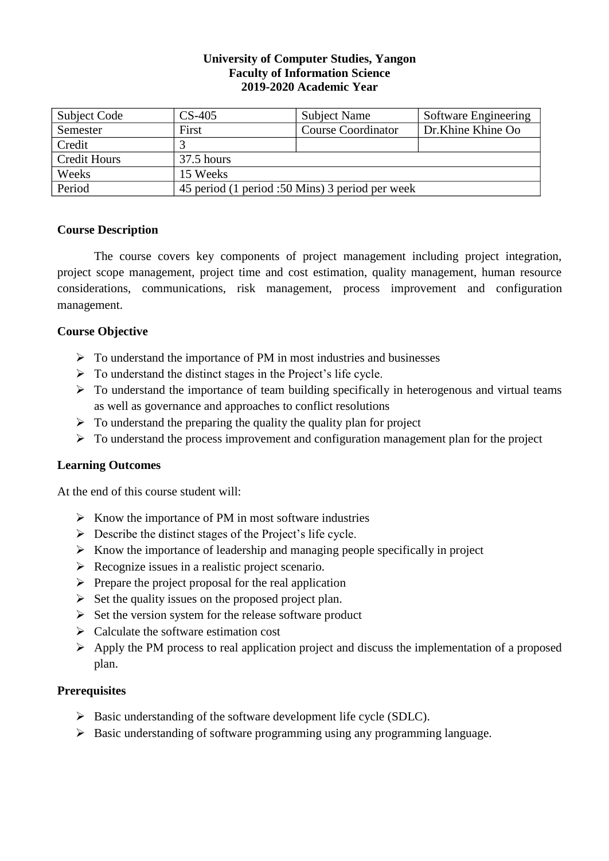# **University of Computer Studies, Yangon Faculty of Information Science 2019-2020 Academic Year**

| Subject Code        | $CS-405$                                        | <b>Subject Name</b>       | Software Engineering |  |  |  |
|---------------------|-------------------------------------------------|---------------------------|----------------------|--|--|--|
| Semester            | First                                           | <b>Course Coordinator</b> | Dr.Khine Khine Oo    |  |  |  |
| Credit              |                                                 |                           |                      |  |  |  |
| <b>Credit Hours</b> | $37.5$ hours                                    |                           |                      |  |  |  |
| Weeks               | 15 Weeks                                        |                           |                      |  |  |  |
| Period              | 45 period (1 period :50 Mins) 3 period per week |                           |                      |  |  |  |

# **Course Description**

The course covers key components of project management including project integration, project scope management, project time and cost estimation, quality management, human resource considerations, communications, risk management, process improvement and configuration management.

# **Course Objective**

- $\triangleright$  To understand the importance of PM in most industries and businesses
- $\triangleright$  To understand the distinct stages in the Project's life cycle.
- $\triangleright$  To understand the importance of team building specifically in heterogenous and virtual teams as well as governance and approaches to conflict resolutions
- $\triangleright$  To understand the preparing the quality the quality plan for project
- $\triangleright$  To understand the process improvement and configuration management plan for the project

# **Learning Outcomes**

At the end of this course student will:

- $\triangleright$  Know the importance of PM in most software industries
- $\triangleright$  Describe the distinct stages of the Project's life cycle.
- $\triangleright$  Know the importance of leadership and managing people specifically in project
- $\triangleright$  Recognize issues in a realistic project scenario.
- $\triangleright$  Prepare the project proposal for the real application
- $\triangleright$  Set the quality issues on the proposed project plan.
- $\triangleright$  Set the version system for the release software product
- ➢ Calculate the software estimation cost
- $\triangleright$  Apply the PM process to real application project and discuss the implementation of a proposed plan.

# **Prerequisites**

- ➢ Basic understanding of the software development life cycle (SDLC).
- ➢ Basic understanding of software programming using any programming language.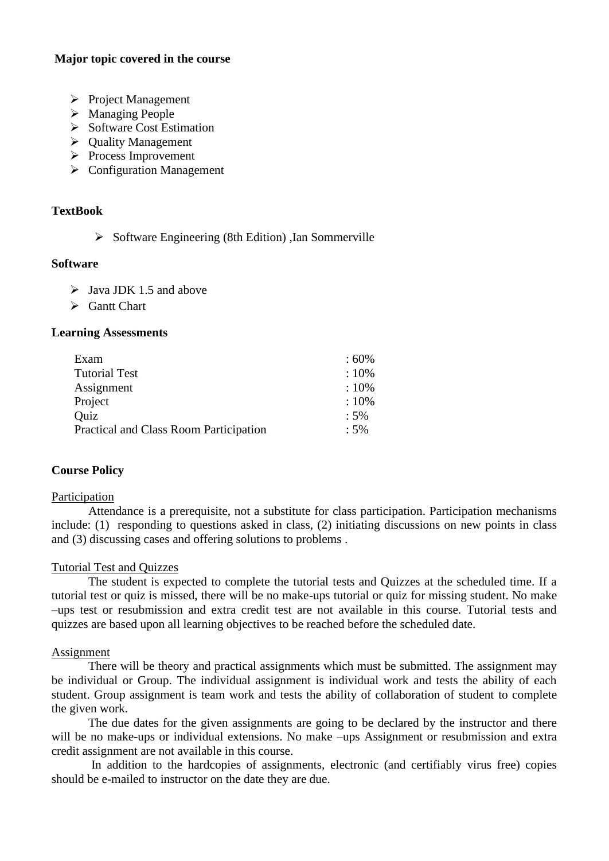# **Major topic covered in the course**

- ➢ Project Management
- ➢ Managing People
- ➢ Software Cost Estimation
- ➢ Quality Management
- ➢ Process Improvement
- ➢ Configuration Management

# **TextBook**

➢ Software Engineering (8th Edition) ,Ian Sommerville

#### **Software**

- $\triangleright$  Java JDK 1.5 and above
- ➢ Gantt Chart

### **Learning Assessments**

| Exam                                          | $.60\%$ |
|-----------------------------------------------|---------|
| <b>Tutorial Test</b>                          | $:10\%$ |
| Assignment                                    | $:10\%$ |
| Project                                       | $:10\%$ |
| Quiz                                          | $:5\%$  |
| <b>Practical and Class Room Participation</b> | $:5\%$  |
|                                               |         |

# **Course Policy**

### Participation

Attendance is a prerequisite, not a substitute for class participation. Participation mechanisms include: (1) responding to questions asked in class, (2) initiating discussions on new points in class and (3) discussing cases and offering solutions to problems .

#### Tutorial Test and Quizzes

The student is expected to complete the tutorial tests and Quizzes at the scheduled time. If a tutorial test or quiz is missed, there will be no make-ups tutorial or quiz for missing student. No make –ups test or resubmission and extra credit test are not available in this course. Tutorial tests and quizzes are based upon all learning objectives to be reached before the scheduled date.

#### Assignment

There will be theory and practical assignments which must be submitted. The assignment may be individual or Group. The individual assignment is individual work and tests the ability of each student. Group assignment is team work and tests the ability of collaboration of student to complete the given work.

The due dates for the given assignments are going to be declared by the instructor and there will be no make-ups or individual extensions. No make –ups Assignment or resubmission and extra credit assignment are not available in this course.

In addition to the hardcopies of assignments, electronic (and certifiably virus free) copies should be e-mailed to instructor on the date they are due.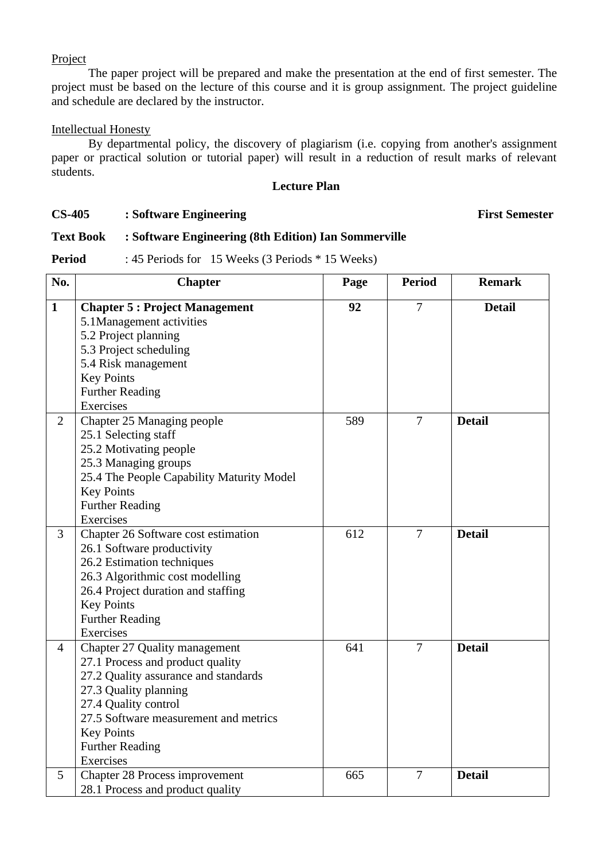#### Project

The paper project will be prepared and make the presentation at the end of first semester. The project must be based on the lecture of this course and it is group assignment. The project guideline and schedule are declared by the instructor.

## Intellectual Honesty

By departmental policy, the discovery of plagiarism (i.e. copying from another's assignment paper or practical solution or tutorial paper) will result in a reduction of result marks of relevant students.

# **Lecture Plan**

# **CS-405 : Software Engineering First Semester**

# **Text Book : Software Engineering (8th Edition) Ian Sommerville**

**Period** : 45 Periods for 15 Weeks (3 Periods \* 15 Weeks)

| No.            | <b>Chapter</b>                            | Page | <b>Period</b>  | <b>Remark</b> |
|----------------|-------------------------------------------|------|----------------|---------------|
| $\mathbf{1}$   | <b>Chapter 5: Project Management</b>      | 92   | $\overline{7}$ | <b>Detail</b> |
|                | 5.1Management activities                  |      |                |               |
|                | 5.2 Project planning                      |      |                |               |
|                | 5.3 Project scheduling                    |      |                |               |
|                | 5.4 Risk management                       |      |                |               |
|                | <b>Key Points</b>                         |      |                |               |
|                | <b>Further Reading</b>                    |      |                |               |
|                | Exercises                                 |      |                |               |
| $\overline{2}$ | Chapter 25 Managing people                | 589  | $\overline{7}$ | <b>Detail</b> |
|                | 25.1 Selecting staff                      |      |                |               |
|                | 25.2 Motivating people                    |      |                |               |
|                | 25.3 Managing groups                      |      |                |               |
|                | 25.4 The People Capability Maturity Model |      |                |               |
|                | <b>Key Points</b>                         |      |                |               |
|                | <b>Further Reading</b>                    |      |                |               |
|                | Exercises                                 |      |                |               |
| 3              | Chapter 26 Software cost estimation       | 612  | $\overline{7}$ | <b>Detail</b> |
|                | 26.1 Software productivity                |      |                |               |
|                | 26.2 Estimation techniques                |      |                |               |
|                | 26.3 Algorithmic cost modelling           |      |                |               |
|                | 26.4 Project duration and staffing        |      |                |               |
|                | <b>Key Points</b>                         |      |                |               |
|                | <b>Further Reading</b>                    |      |                |               |
|                | Exercises                                 |      |                |               |
| 4              | Chapter 27 Quality management             | 641  | $\overline{7}$ | <b>Detail</b> |
|                | 27.1 Process and product quality          |      |                |               |
|                | 27.2 Quality assurance and standards      |      |                |               |
|                | 27.3 Quality planning                     |      |                |               |
|                | 27.4 Quality control                      |      |                |               |
|                | 27.5 Software measurement and metrics     |      |                |               |
|                | <b>Key Points</b>                         |      |                |               |
|                | <b>Further Reading</b>                    |      |                |               |
|                | Exercises                                 |      |                |               |
| 5              | Chapter 28 Process improvement            | 665  | $\overline{7}$ | <b>Detail</b> |
|                | 28.1 Process and product quality          |      |                |               |